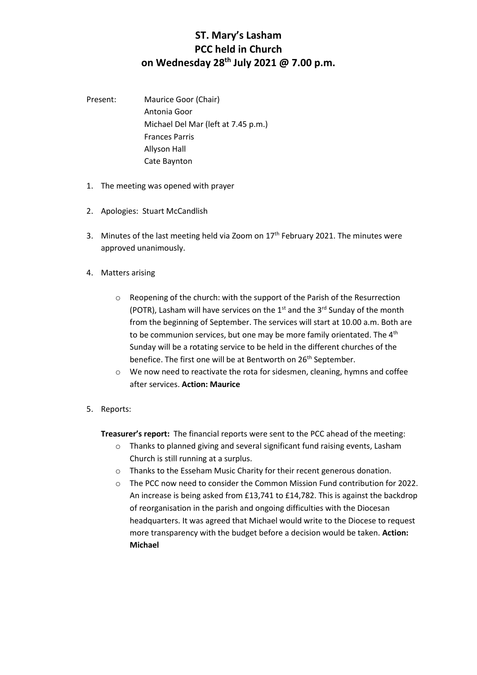## **ST. Mary's Lasham PCC held in Church on Wednesday 28th July 2021 @ 7.00 p.m.**

- Present: Maurice Goor (Chair) Antonia Goor Michael Del Mar (left at 7.45 p.m.) Frances Parris Allyson Hall Cate Baynton
- 1. The meeting was opened with prayer
- 2. Apologies: Stuart McCandlish
- 3. Minutes of the last meeting held via Zoom on  $17<sup>th</sup>$  February 2021. The minutes were approved unanimously.
- 4. Matters arising
	- o Reopening of the church: with the support of the Parish of the Resurrection (POTR), Lasham will have services on the  $1<sup>st</sup>$  and the  $3<sup>rd</sup>$  Sunday of the month from the beginning of September. The services will start at 10.00 a.m. Both are to be communion services, but one may be more family orientated. The 4<sup>th</sup> Sunday will be a rotating service to be held in the different churches of the benefice. The first one will be at Bentworth on 26<sup>th</sup> September.
	- o We now need to reactivate the rota for sidesmen, cleaning, hymns and coffee after services. **Action: Maurice**
- 5. Reports:

**Treasurer's report:** The financial reports were sent to the PCC ahead of the meeting:

- o Thanks to planned giving and several significant fund raising events, Lasham Church is still running at a surplus.
- o Thanks to the Esseham Music Charity for their recent generous donation.
- o The PCC now need to consider the Common Mission Fund contribution for 2022. An increase is being asked from £13,741 to £14,782. This is against the backdrop of reorganisation in the parish and ongoing difficulties with the Diocesan headquarters. It was agreed that Michael would write to the Diocese to request more transparency with the budget before a decision would be taken. **Action: Michael**